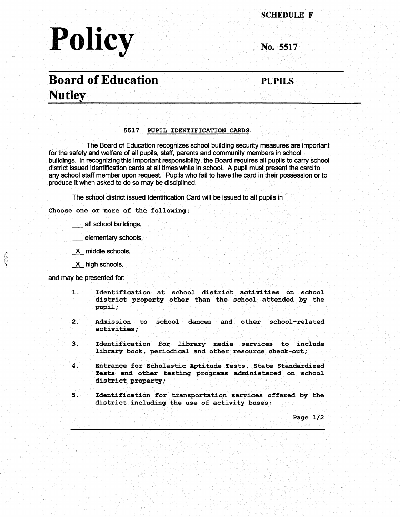# **Policy**

**SCHEDULE F** 

**No. 5517** 

## **.Board of Education Nutley**

**PUPILS** 

#### **5517 PUPIL IDENTIFICATION CARDS**

The Board of Education recognizes school building security measures are important for the safety and welfare of all pupils, staff, parents and community members in school buildings. In recognizing this important responsibility, the Board requires all pupils to carry school district issued identification cards at all times while in school. A pupil must present the card to any school staff member upon request. Pupils who fail to have the card in their possession or to produce it when asked to do so may be disciplined.

The school district issued Identification Card will be issued to all pupils in

#### **Choose one or more of the following:**

all school buildings,

elementary schools,

\_x\_ middle schools,

X high schools,

and may be presented for:

I -

- **1. Identification at school district activities on school district property other than the school attended by the pupil;**
- 2. Admission to school dances and other school-related **activities;**
- *3.* Identification for library media services to include library book, periodical and other resource check-out;
- 4. Entrance for Scholastic Aptitude Tests, State Standardized Tests and other testing programs administered on school district property;
- 5. Identification for transportation services offered by the district including the use of activity buses;

Page 1/2

<u>. Mikri</u>